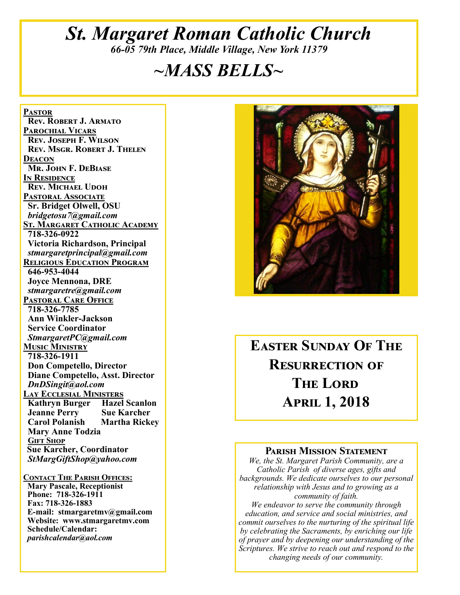# *St. Margaret Roman Catholic Church 66-05 79th Place, Middle Village, New York 11379*

# *~MASS BELLS~*

**Pastor Rev. Robert J. Armato Parochial Vicars Rev. Joseph F. Wilson Rev. Msgr. Robert J. Thelen Deacon Mr. John F. DeBiase In Residence Rev. Michael Udoh Pastoral Associate Sr. Bridget Olwell, OSU**  *bridgetosu7@gmail.com* **St. Margaret Catholic Academy 718-326-0922 Victoria Richardson, Principal**  *stmargaretprincipal@gmail.com* **Religious Education Program 646-953-4044 Joyce Mennona, DRE** *stmargaretre@gmail.com* **Pastoral Care Office 718-326-7785 Ann Winkler-Jackson Service Coordinator** *StmargaretPC@gmail.com* **Music Ministry 718-326-1911 Don Competello, Director Diane Competello, Asst. Director** *DnDSingit@aol.com* **Lay Ecclesial Ministers Kathryn Burger Hazel Scanlon Jeanne Perry Sue Karcher Carol Polanish Mary Anne Todzia Gift Shop Sue Karcher, Coordinator** *StMargGiftShop@yahoo.com*

**Contact The Parish Offices: Mary Pascale, Receptionist Phone: 718-326-1911 Fax: 718-326-1883 E-mail: stmargaretmv@gmail.com Website: www.stmargaretmv.com Schedule/Calendar:** *parishcalendar@aol.com* 



**Easter Sunday Of The Resurrection of The Lord April 1, 2018** 

#### **Parish Mission Statement**

*We, the St. Margaret Parish Community, are a Catholic Parish of diverse ages, gifts and backgrounds. We dedicate ourselves to our personal relationship with Jesus and to growing as a community of faith.*

*We endeavor to serve the community through education, and service and social ministries, and commit ourselves to the nurturing of the spiritual life by celebrating the Sacraments, by enriching our life of prayer and by deepening our understanding of the Scriptures. We strive to reach out and respond to the changing needs of our community.*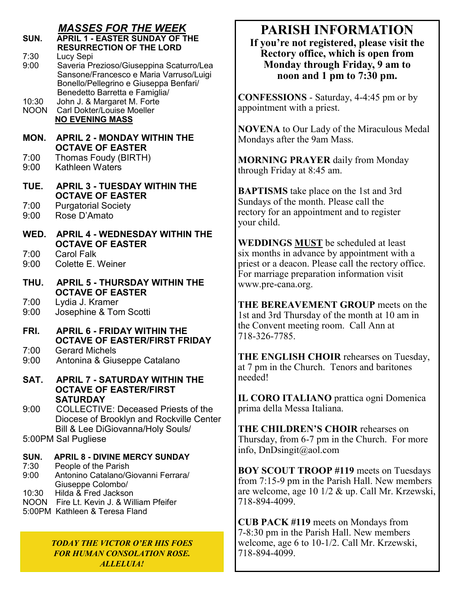### *MASSES FOR THE WEEK*

| SUN.                 | <b>APRIL 1 - EASTER SUNDAY OF THE</b><br><b>RESURRECTION OF THE LORD</b>                                                                   |
|----------------------|--------------------------------------------------------------------------------------------------------------------------------------------|
| 7:30<br>9:00         | Lucy Sepi<br>Saveria Prezioso/Giuseppina Scaturro/Lea<br>Sansone/Francesco e Maria Varruso/Luigi<br>Bonello/Pellegrino e Giuseppa Benfari/ |
| 10:30<br><b>NOON</b> | Benedetto Barretta e Famiglia/<br>John J. & Margaret M. Forte<br><b>Carl Dokter/Louise Moeller</b><br><b>NO EVENING MASS</b>               |
| MON.                 | <b>APRIL 2 - MONDAY WITHIN THE</b><br><b>OCTAVE OF EASTER</b>                                                                              |
| 7:00<br>9:00         | Thomas Foudy (BIRTH)<br><b>Kathleen Waters</b>                                                                                             |
| TUE.                 | <b>APRIL 3 - TUESDAY WITHIN THE</b><br><b>OCTAVE OF EASTER</b>                                                                             |
| 7:00<br>9:00         | <b>Purgatorial Society</b><br>Rose D'Amato                                                                                                 |
| WED.                 | <b>APRIL 4 - WEDNESDAY WITHIN THE</b><br><b>OCTAVE OF EASTER</b>                                                                           |
| 7:00<br>9:00         | <b>Carol Falk</b><br>Colette E. Weiner                                                                                                     |
| THU.                 | <b>APRIL 5 - THURSDAY WITHIN THE</b><br><b>OCTAVE OF EASTER</b>                                                                            |
| 7:00<br>9:00         | Lydia J. Kramer<br>Josephine & Tom Scotti                                                                                                  |
| FRI.                 | <b>APRIL 6 - FRIDAY WITHIN THE</b><br><b>OCTAVE OF EASTER/FIRST FRIDAY</b>                                                                 |
| 7:00<br>9:00         | <b>Gerard Michels</b><br>Antonina & Giuseppe Catalano                                                                                      |
| SAT.                 | <b>APRIL 7 - SATURDAY WITHIN THE</b><br><b>OCTAVE OF EASTER/FIRST</b>                                                                      |
| 9:00                 | <b>SATURDAY</b><br><b>COLLECTIVE: Deceased Priests of the</b><br>Diocese of Brooklyn and Rockville Center                                  |
|                      | <b>Bill &amp; Lee DiGiovanna/Holy Souls/</b><br>5:00PM Sal Pugliese                                                                        |
| SUN.<br>7:30         | <b>APRIL 8 - DIVINE MERCY SUNDAY</b><br>People of the Parish                                                                               |
| 9:00<br>10.30        | Antonino Catalano/Giovanni Ferrara/<br>Giuseppe Colombo/<br>Hilda & Fred Jackson                                                           |

10:30 Hilda & Fred Jackson

- NOON Fire Lt. Kevin J. & William Pfeifer
- 5:00PM Kathleen & Teresa Fland

*TODAY THE VICTOR O'ER HIS FOES FOR HUMAN CONSOLATION ROSE. ALLELUIA!* 

# **PARISH INFORMATION**

**If you're not registered, please visit the Rectory office, which is open from Monday through Friday, 9 am to noon and 1 pm to 7:30 pm.**

**CONFESSIONS** - Saturday, 4-4:45 pm or by appointment with a priest.

**NOVENA** to Our Lady of the Miraculous Medal Mondays after the 9am Mass.

**MORNING PRAYER** daily from Monday through Friday at 8:45 am.

**BAPTISMS** take place on the 1st and 3rd Sundays of the month. Please call the rectory for an appointment and to register your child.

**WEDDINGS MUST** be scheduled at least six months in advance by appointment with a priest or a deacon. Please call the rectory office. For marriage preparation information visit www.pre-cana.org.

**THE BEREAVEMENT GROUP** meets on the 1st and 3rd Thursday of the month at 10 am in the Convent meeting room. Call Ann at 718-326-7785.

**THE ENGLISH CHOIR** rehearses on Tuesday, at 7 pm in the Church. Tenors and baritones needed!

**IL CORO ITALIANO** prattica ogni Domenica prima della Messa Italiana.

**THE CHILDREN'S CHOIR** rehearses on Thursday, from 6-7 pm in the Church. For more info, DnDsingit@aol.com

**BOY SCOUT TROOP #119** meets on Tuesdays from 7:15-9 pm in the Parish Hall. New members are welcome, age 10 1/2 & up. Call Mr. Krzewski, 718-894-4099.

**CUB PACK #119** meets on Mondays from 7-8:30 pm in the Parish Hall. New members welcome, age 6 to 10-1/2. Call Mr. Krzewski, 718-894-4099.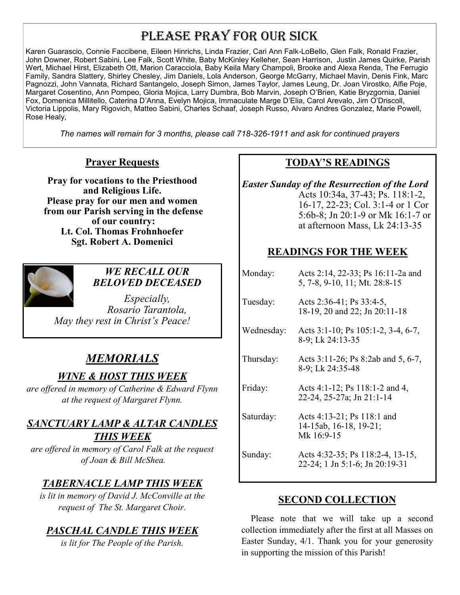# PLEASE PRAY FOR OUR SICK

Karen Guarascio, Connie Faccibene, Eileen Hinrichs, Linda Frazier, Cari Ann Falk-LoBello, Glen Falk, Ronald Frazier, John Downer, Robert Sabini, Lee Falk, Scott White, Baby McKinley Kelleher, Sean Harrison, Justin James Quirke, Parish Wert, Michael Hirst, Elizabeth Ott, Marion Caracciola, Baby Keila Mary Champoli, Brooke and Alexa Renda, The Ferrugio Family, Sandra Slattery, Shirley Chesley, Jim Daniels, Lola Anderson, George McGarry, Michael Mavin, Denis Fink, Marc Pagnozzi, John Vannata, Richard Santangelo, Joseph Simon, James Taylor, James Leung, Dr. Joan Virostko, Alfie Poje, Margaret Cosentino, Ann Pompeo, Gloria Mojica, Larry Dumbra, Bob Marvin, Joseph O'Brien, Katie Bryzgornia, Daniel Fox, Domenica Millitello, Caterina D'Anna, Evelyn Mojica, Immaculate Marge D'Elia, Carol Arevalo, Jim O'Driscoll, Victoria Lippolis, Mary Rigovich, Matteo Sabini, Charles Schaaf, Joseph Russo, Alvaro Andres Gonzalez, Marie Powell, Rose Healy,

*The names will remain for 3 months, please call 718-326-1911 and ask for continued prayers*

### **Prayer Requests**

**Pray for vocations to the Priesthood and Religious Life. Please pray for our men and women from our Parish serving in the defense of our country: Lt. Col. Thomas Frohnhoefer Sgt. Robert A. Domenici** 



### *WE RECALL OUR BELOVED DECEASED*

*Especially, Rosario Tarantola, May they rest in Christ's Peace!*

### *MEMORIALS*

### *WINE & HOST THIS WEEK*

*are offered in memory of Catherine & Edward Flynn at the request of Margaret Flynn.*

### *SANCTUARY LAMP & ALTAR CANDLES THIS WEEK*

*are offered in memory of Carol Falk at the request of Joan & Bill McShea.*

### *TABERNACLE LAMP THIS WEEK*

*is lit in memory of David J. McConville at the request of The St. Margaret Choir.* 

### *PASCHAL CANDLE THIS WEEK*

*is lit for The People of the Parish.*

### **TODAY'S READINGS**

*Easter Sunday of the Resurrection of the Lord*  Acts 10:34a, 37-43; Ps. 118:1-2, 16-17, 22-23; Col. 3:1-4 or 1 Cor 5:6b-8; Jn 20:1-9 or Mk 16:1-7 or at afternoon Mass, Lk 24:13-35

### **READINGS FOR THE WEEK**

| Monday:    | Acts 2:14, 22-33; Ps 16:11-2a and<br>5, 7-8, 9-10, 11; Mt. 28:8-15 |
|------------|--------------------------------------------------------------------|
| Tuesday:   | Acts 2:36-41; Ps 33:4-5,<br>18-19, 20 and 22; Jn 20:11-18          |
| Wednesday: | Acts 3:1-10; Ps 105:1-2, 3-4, 6-7,<br>8-9; Lk 24:13-35             |
| Thursday:  | Acts 3:11-26; Ps 8:2ab and 5, 6-7,<br>8-9; Lk 24:35-48             |
| Friday:    | Acts 4:1-12; Ps 118:1-2 and 4,<br>22-24, 25-27a; Jn 21:1-14        |
| Saturday:  | Acts 4:13-21; Ps 118:1 and<br>14-15ab, 16-18, 19-21;<br>Mk 16:9-15 |
| Sunday:    | Acts 4:32-35; Ps 118:2-4, 13-15,<br>22-24; 1 Jn 5:1-6; Jn 20:19-31 |

### **SECOND COLLECTION**

 Please note that we will take up a second collection immediately after the first at all Masses on Easter Sunday, 4/1. Thank you for your generosity in supporting the mission of this Parish!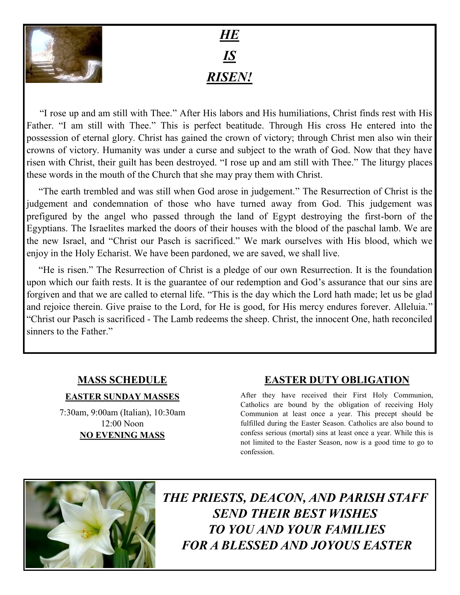

# *HE IS RISEN!*

"I rose up and am still with Thee." After His labors and His humiliations, Christ finds rest with His Father. "I am still with Thee." This is perfect beatitude. Through His cross He entered into the possession of eternal glory. Christ has gained the crown of victory; through Christ men also win their crowns of victory. Humanity was under a curse and subject to the wrath of God. Now that they have risen with Christ, their guilt has been destroyed. "I rose up and am still with Thee." The liturgy places these words in the mouth of the Church that she may pray them with Christ.

 "The earth trembled and was still when God arose in judgement." The Resurrection of Christ is the judgement and condemnation of those who have turned away from God. This judgement was prefigured by the angel who passed through the land of Egypt destroying the first-born of the Egyptians. The Israelites marked the doors of their houses with the blood of the paschal lamb. We are the new Israel, and "Christ our Pasch is sacrificed." We mark ourselves with His blood, which we enjoy in the Holy Echarist. We have been pardoned, we are saved, we shall live.

 "He is risen." The Resurrection of Christ is a pledge of our own Resurrection. It is the foundation upon which our faith rests. It is the guarantee of our redemption and God's assurance that our sins are forgiven and that we are called to eternal life. "This is the day which the Lord hath made; let us be glad and rejoice therein. Give praise to the Lord, for He is good, for His mercy endures forever. Alleluia." "Christ our Pasch is sacrificed - The Lamb redeems the sheep. Christ, the innocent One, hath reconciled sinners to the Father."

### **MASS SCHEDULE**

#### **EASTER SUNDAY MASSES**

7:30am, 9:00am (Italian), 10:30am 12:00 Noon **NO EVENING MASS**

### **EASTER DUTY OBLIGATION**

After they have received their First Holy Communion, Catholics are bound by the obligation of receiving Holy Communion at least once a year. This precept should be fulfilled during the Easter Season. Catholics are also bound to confess serious (mortal) sins at least once a year. While this is not limited to the Easter Season, now is a good time to go to confession.



*THE PRIESTS, DEACON, AND PARISH STAFF SEND THEIR BEST WISHES TO YOU AND YOUR FAMILIES FOR A BLESSED AND JOYOUS EASTER*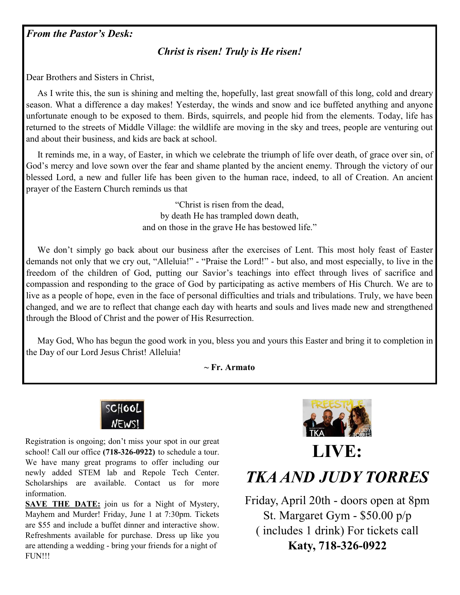*From the Pastor's Desk:*

### *Christ is risen! Truly is He risen!*

Dear Brothers and Sisters in Christ,

 As I write this, the sun is shining and melting the, hopefully, last great snowfall of this long, cold and dreary season. What a difference a day makes! Yesterday, the winds and snow and ice buffeted anything and anyone unfortunate enough to be exposed to them. Birds, squirrels, and people hid from the elements. Today, life has returned to the streets of Middle Village: the wildlife are moving in the sky and trees, people are venturing out and about their business, and kids are back at school.

 It reminds me, in a way, of Easter, in which we celebrate the triumph of life over death, of grace over sin, of God's mercy and love sown over the fear and shame planted by the ancient enemy. Through the victory of our blessed Lord, a new and fuller life has been given to the human race, indeed, to all of Creation. An ancient prayer of the Eastern Church reminds us that

> "Christ is risen from the dead, by death He has trampled down death, and on those in the grave He has bestowed life."

 We don't simply go back about our business after the exercises of Lent. This most holy feast of Easter demands not only that we cry out, "Alleluia!" - "Praise the Lord!" - but also, and most especially, to live in the freedom of the children of God, putting our Savior's teachings into effect through lives of sacrifice and compassion and responding to the grace of God by participating as active members of His Church. We are to live as a people of hope, even in the face of personal difficulties and trials and tribulations. Truly, we have been changed, and we are to reflect that change each day with hearts and souls and lives made new and strengthened through the Blood of Christ and the power of His Resurrection.

 May God, Who has begun the good work in you, bless you and yours this Easter and bring it to completion in the Day of our Lord Jesus Christ! Alleluia!

**~ Fr. Armato**



Registration is ongoing; don't miss your spot in our great school! Call our office **(718-326-0922)** to schedule a tour. We have many great programs to offer including our newly added STEM lab and Repole Tech Center. Scholarships are available. Contact us for more information.

**SAVE THE DATE:** join us for a Night of Mystery, Mayhem and Murder! Friday, June 1 at 7:30pm. Tickets are \$55 and include a buffet dinner and interactive show. Refreshments available for purchase. Dress up like you are attending a wedding - bring your friends for a night of FUN!!!



# **LIVE:**

*TKA AND JUDY TORRES*

Friday, April 20th - doors open at 8pm St. Margaret Gym - \$50.00 p/p ( includes 1 drink) For tickets call **Katy, 718-326-0922**